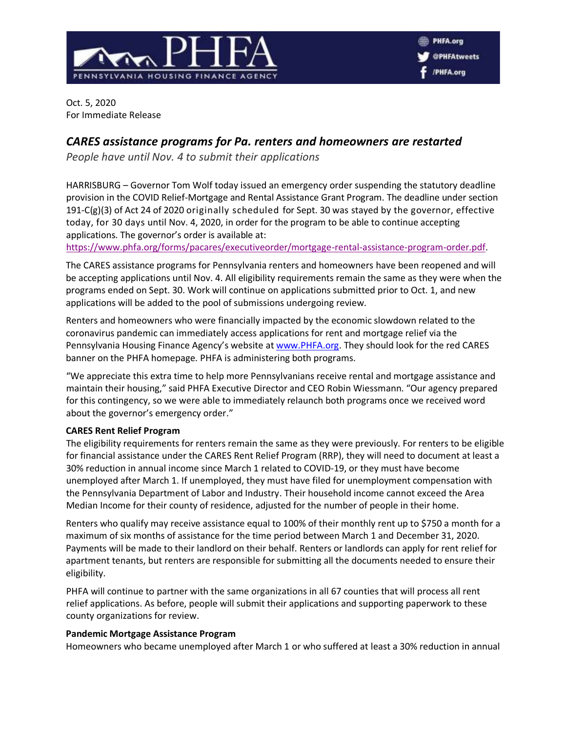

Oct. 5, 2020 For Immediate Release

# *CARES assistance programs for Pa. renters and homeowners are restarted*

*People have until Nov. 4 to submit their applications*

HARRISBURG – Governor Tom Wolf today issued an emergency order suspending the statutory deadline provision in the COVID Relief-Mortgage and Rental Assistance Grant Program. The deadline under section 191-C(g)(3) of Act 24 of 2020 originally scheduled for Sept. 30 was stayed by the governor, effective today, for 30 days until Nov. 4, 2020, in order for the program to be able to continue accepting applications. The governor's order is available at:

[https://www.phfa.org/forms/pacares/executiveorder/mortgage-rental-assistance-program-order.pdf.](https://www.phfa.org/forms/pacares/executiveorder/mortgage-rental-assistance-program-order.pdf)

The CARES assistance programs for Pennsylvania renters and homeowners have been reopened and will be accepting applications until Nov. 4. All eligibility requirements remain the same as they were when the programs ended on Sept. 30. Work will continue on applications submitted prior to Oct. 1, and new applications will be added to the pool of submissions undergoing review.

Renters and homeowners who were financially impacted by the economic slowdown related to the coronavirus pandemic can immediately access applications for rent and mortgage relief via the Pennsylvania Housing Finance Agency's website at [www.PHFA.org.](http://www.phfa.org/) They should look for the red CARES banner on the PHFA homepage. PHFA is administering both programs.

"We appreciate this extra time to help more Pennsylvanians receive rental and mortgage assistance and maintain their housing," said PHFA Executive Director and CEO Robin Wiessmann. "Our agency prepared for this contingency, so we were able to immediately relaunch both programs once we received word about the governor's emergency order."

# **CARES Rent Relief Program**

The eligibility requirements for renters remain the same as they were previously. For renters to be eligible for financial assistance under the CARES Rent Relief Program (RRP), they will need to document at least a 30% reduction in annual income since March 1 related to COVID-19, or they must have become unemployed after March 1. If unemployed, they must have filed for unemployment compensation with the Pennsylvania Department of Labor and Industry. Their household income cannot exceed the Area Median Income for their county of residence, adjusted for the number of people in their home.

Renters who qualify may receive assistance equal to 100% of their monthly rent up to \$750 a month for a maximum of six months of assistance for the time period between March 1 and December 31, 2020. Payments will be made to their landlord on their behalf. Renters or landlords can apply for rent relief for apartment tenants, but renters are responsible for submitting all the documents needed to ensure their eligibility.

PHFA will continue to partner with the same organizations in all 67 counties that will process all rent relief applications. As before, people will submit their applications and supporting paperwork to these county organizations for review.

# **Pandemic Mortgage Assistance Program**

Homeowners who became unemployed after March 1 or who suffered at least a 30% reduction in annual